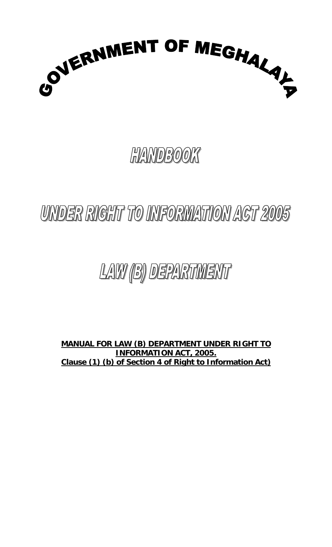

# **HANDBOOK**

# UNDER RIGHT TO INFORMATION ACT 2005

# LAW (B) DEPARTMENT

**MANUAL FOR LAW (B) DEPARTMENT UNDER RIGHT TO INFORMATION ACT, 2005. Clause (1) (b) of Section 4 of Right to Information Act)**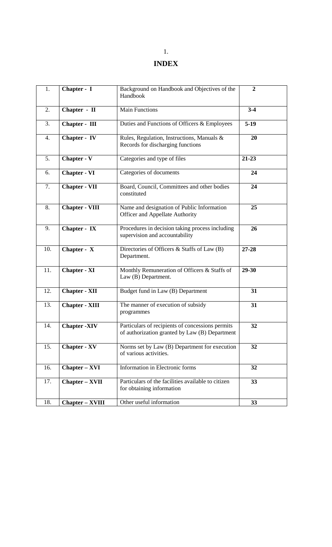## **INDEX**

| 1.  | Chapter - I            | Background on Handbook and Objectives of the<br>Handbook                                           | $\overline{2}$ |
|-----|------------------------|----------------------------------------------------------------------------------------------------|----------------|
| 2.  | Chapter - II           | <b>Main Functions</b>                                                                              | $3-4$          |
| 3.  | Chapter - III          | Duties and Functions of Officers & Employees                                                       | $5-19$         |
| 4.  | Chapter - IV           | Rules, Regulation, Instructions, Manuals &<br>Records for discharging functions                    | 20             |
| 5.  | Chapter - V            | Categories and type of files                                                                       | $21 - 23$      |
| 6.  | <b>Chapter - VI</b>    | Categories of documents                                                                            | 24             |
| 7.  | <b>Chapter - VII</b>   | Board, Council, Committees and other bodies<br>constituted                                         | 24             |
| 8.  | <b>Chapter - VIII</b>  | Name and designation of Public Information<br>Officer and Appellate Authority                      | 25             |
| 9.  | Chapter - IX           | Procedures in decision taking process including<br>supervision and accountability                  | 26             |
| 10. | Chapter - X            | Directories of Officers & Staffs of Law (B)<br>Department.                                         | 27-28          |
| 11. | <b>Chapter - XI</b>    | Monthly Remuneration of Officers & Staffs of<br>Law (B) Department.                                | 29-30          |
| 12. | <b>Chapter - XII</b>   | Budget fund in Law (B) Department                                                                  | 31             |
| 13. | <b>Chapter - XIII</b>  | The manner of execution of subsidy<br>programmes                                                   | 31             |
| 14. | <b>Chapter -XIV</b>    | Particulars of recipients of concessions permits<br>of authorization granted by Law (B) Department | 32             |
| 15. | <b>Chapter - XV</b>    | Norms set by Law (B) Department for execution<br>of various activities.                            | 32             |
| 16. | <b>Chapter – XVI</b>   | Information in Electronic forms                                                                    | 32             |
| 17. | <b>Chapter – XVII</b>  | Particulars of the facilities available to citizen<br>for obtaining information                    | 33             |
| 18. | <b>Chapter - XVIII</b> | Other useful information                                                                           | 33             |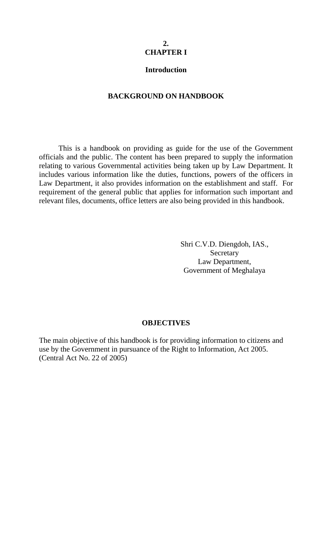#### **2. CHAPTER I**

#### **Introduction**

#### **BACKGROUND ON HANDBOOK**

This is a handbook on providing as guide for the use of the Government officials and the public. The content has been prepared to supply the information relating to various Governmental activities being taken up by Law Department. It includes various information like the duties, functions, powers of the officers in Law Department, it also provides information on the establishment and staff. For requirement of the general public that applies for information such important and relevant files, documents, office letters are also being provided in this handbook.

> Shri C.V.D. Diengdoh, IAS., Secretary Law Department, Government of Meghalaya

#### **OBJECTIVES**

The main objective of this handbook is for providing information to citizens and use by the Government in pursuance of the Right to Information, Act 2005. (Central Act No. 22 of 2005)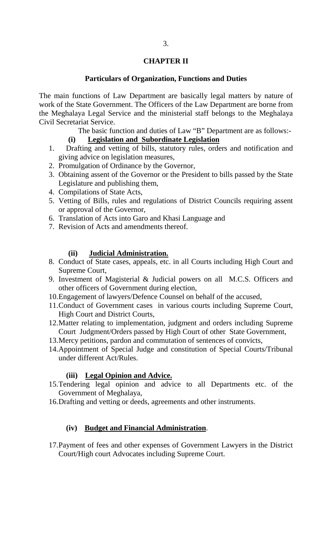#### **CHAPTER II**

#### **Particulars of Organization, Functions and Duties**

The main functions of Law Department are basically legal matters by nature of work of the State Government. The Officers of the Law Department are borne from the Meghalaya Legal Service and the ministerial staff belongs to the Meghalaya Civil Secretariat Service.

The basic function and duties of Law "B" Department are as follows:-

#### **(i) Legislation and Subordinate Legislation**

- 1. Drafting and vetting of bills, statutory rules, orders and notification and giving advice on legislation measures,
- 2. Promulgation of Ordinance by the Governor,
- 3. Obtaining assent of the Governor or the President to bills passed by the State Legislature and publishing them,
- 4. Compilations of State Acts,
- 5. Vetting of Bills, rules and regulations of District Councils requiring assent or approval of the Governor,
- 6. Translation of Acts into Garo and Khasi Language and
- 7. Revision of Acts and amendments thereof.

#### **(ii) Judicial Administration.**

- 8. Conduct of State cases, appeals, etc. in all Courts including High Court and Supreme Court,
- 9. Investment of Magisterial & Judicial powers on all M.C.S. Officers and other officers of Government during election,
- 10.Engagement of lawyers/Defence Counsel on behalf of the accused,
- 11.Conduct of Government cases in various courts including Supreme Court, High Court and District Courts,
- 12.Matter relating to implementation, judgment and orders including Supreme Court Judgment/Orders passed by High Court of other State Government,
- 13.Mercy petitions, pardon and commutation of sentences of convicts,
- 14.Appointment of Special Judge and constitution of Special Courts/Tribunal under different Act/Rules.

#### **(iii) Legal Opinion and Advice.**

- 15.Tendering legal opinion and advice to all Departments etc. of the Government of Meghalaya,
- 16.Drafting and vetting or deeds, agreements and other instruments.

#### **(iv) Budget and Financial Administration**.

17.Payment of fees and other expenses of Government Lawyers in the District Court/High court Advocates including Supreme Court.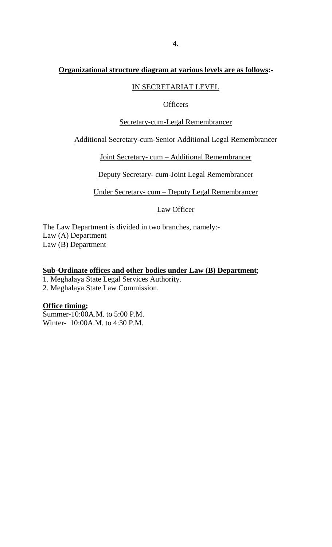# **Organizational structure diagram at various levels are as follows:-**

## IN SECRETARIAT LEVEL

#### **Officers**

#### Secretary-cum-Legal Remembrancer

#### Additional Secretary-cum-Senior Additional Legal Remembrancer

#### Joint Secretary- cum – Additional Remembrancer

Deputy Secretary- cum-Joint Legal Remembrancer

Under Secretary- cum – Deputy Legal Remembrancer

Law Officer

 The Law Department is divided in two branches, namely:- Law (A) Department Law (B) Department

## **Sub-Ordinate offices and other bodies under Law (B) Department** ;

1. Meghalaya State Legal Services Authority.

2. Meghalaya State Law Commission.

### **Office timing ;**

 Summer-10:00A.M. to 5:00 P.M. Winter- 10:00A.M. to 4:30 P.M.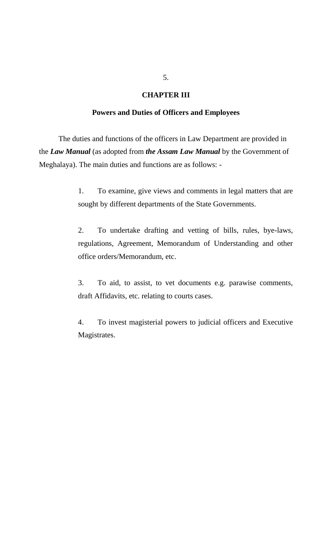#### **CHAPTER III**

#### **Powers and Duties of Officers and Employees**

The duties and functions of the officers in Law Department are provided in the *Law Manual* (as adopted from *the Assam Law Manual* by the Government of Meghalaya). The main duties and functions are as follows: -

> 1. To examine, give views and comments in legal matters that are sought by different departments of the State Governments.

> 2. To undertake drafting and vetting of bills, rules, bye-laws, regulations, Agreement, Memorandum of Understanding and other office orders/Memorandum, etc.

> 3. To aid, to assist, to vet documents e.g. parawise comments, draft Affidavits, etc. relating to courts cases.

> 4. To invest magisterial powers to judicial officers and Executive Magistrates.

5.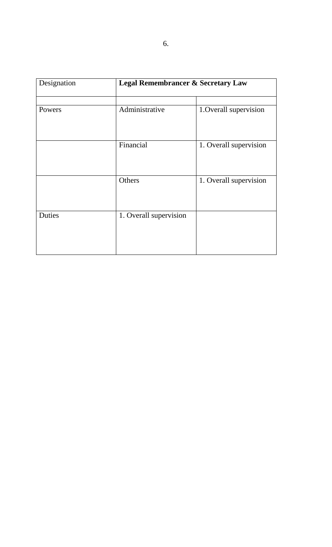| Designation | <b>Legal Remembrancer &amp; Secretary Law</b> |                        |
|-------------|-----------------------------------------------|------------------------|
| Powers      | Administrative                                | 1. Overall supervision |
|             | Financial                                     | 1. Overall supervision |
|             | Others                                        | 1. Overall supervision |
| Duties      | 1. Overall supervision                        |                        |
|             |                                               |                        |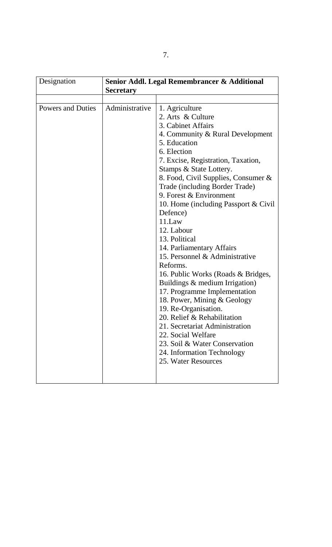| Designation              | Senior Addl. Legal Remembrancer & Additional<br><b>Secretary</b> |                                                                                                                                                                                                                                                                                                                                                                                                                                                                                                                                                                                                                                                                                                                                                                                                                        |
|--------------------------|------------------------------------------------------------------|------------------------------------------------------------------------------------------------------------------------------------------------------------------------------------------------------------------------------------------------------------------------------------------------------------------------------------------------------------------------------------------------------------------------------------------------------------------------------------------------------------------------------------------------------------------------------------------------------------------------------------------------------------------------------------------------------------------------------------------------------------------------------------------------------------------------|
|                          |                                                                  |                                                                                                                                                                                                                                                                                                                                                                                                                                                                                                                                                                                                                                                                                                                                                                                                                        |
| <b>Powers and Duties</b> | Administrative                                                   | 1. Agriculture<br>2. Arts & Culture<br>3. Cabinet Affairs<br>4. Community & Rural Development<br>5. Education<br>6. Election<br>7. Excise, Registration, Taxation,<br>Stamps & State Lottery.<br>8. Food, Civil Supplies, Consumer &<br>Trade (including Border Trade)<br>9. Forest & Environment<br>10. Home (including Passport & Civil)<br>Defence)<br>11.Law<br>12. Labour<br>13. Political<br>14. Parliamentary Affairs<br>15. Personnel & Administrative<br>Reforms.<br>16. Public Works (Roads & Bridges,<br>Buildings & medium Irrigation)<br>17. Programme Implementation<br>18. Power, Mining & Geology<br>19. Re-Organisation.<br>20. Relief & Rehabilitation<br>21. Secretariat Administration<br>22. Social Welfare<br>23. Soil & Water Conservation<br>24. Information Technology<br>25. Water Resources |
|                          |                                                                  |                                                                                                                                                                                                                                                                                                                                                                                                                                                                                                                                                                                                                                                                                                                                                                                                                        |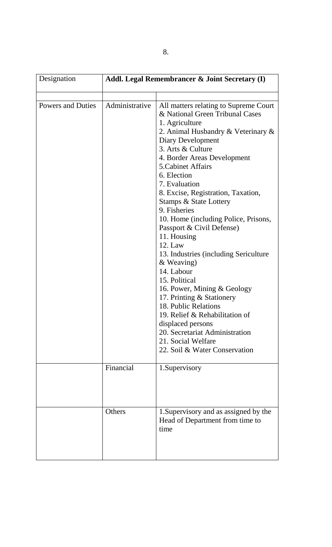| Designation              | <b>Addl. Legal Remembrancer &amp; Joint Secretary (I)</b> |                                                                                                                                                                                                                                                                                                                                                                                                                                                                                                                                                                                                                                                                                                                                                                                       |
|--------------------------|-----------------------------------------------------------|---------------------------------------------------------------------------------------------------------------------------------------------------------------------------------------------------------------------------------------------------------------------------------------------------------------------------------------------------------------------------------------------------------------------------------------------------------------------------------------------------------------------------------------------------------------------------------------------------------------------------------------------------------------------------------------------------------------------------------------------------------------------------------------|
|                          |                                                           |                                                                                                                                                                                                                                                                                                                                                                                                                                                                                                                                                                                                                                                                                                                                                                                       |
| <b>Powers and Duties</b> | Administrative                                            | All matters relating to Supreme Court<br>& National Green Tribunal Cases<br>1. Agriculture<br>2. Animal Husbandry & Veterinary &<br>Diary Development<br>3. Arts & Culture<br>4. Border Areas Development<br>5. Cabinet Affairs<br>6. Election<br>7. Evaluation<br>8. Excise, Registration, Taxation,<br><b>Stamps &amp; State Lottery</b><br>9. Fisheries<br>10. Home (including Police, Prisons,<br>Passport & Civil Defense)<br>11. Housing<br>$12.$ Law<br>13. Industries (including Sericulture<br>& Weaving)<br>14. Labour<br>15. Political<br>16. Power, Mining & Geology<br>17. Printing & Stationery<br>18. Public Relations<br>19. Relief & Rehabilitation of<br>displaced persons<br>20. Secretariat Administration<br>21. Social Welfare<br>22. Soil & Water Conservation |
|                          | Financial                                                 | 1. Supervisory                                                                                                                                                                                                                                                                                                                                                                                                                                                                                                                                                                                                                                                                                                                                                                        |
|                          | Others                                                    | 1. Supervisory and as assigned by the<br>Head of Department from time to<br>time                                                                                                                                                                                                                                                                                                                                                                                                                                                                                                                                                                                                                                                                                                      |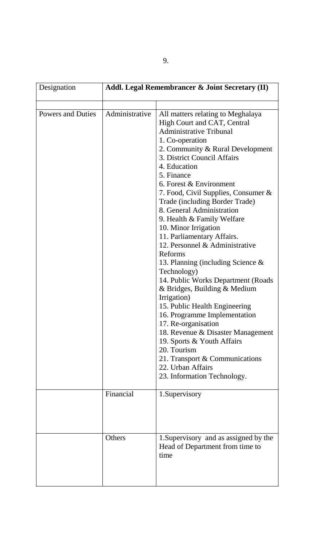| Designation              |                | <b>Addl. Legal Remembrancer &amp; Joint Secretary (II)</b>                                                                                                                                                                                                                                                                                                                                                                                                                                                                                                                                                                                                                                                                                                                                                                                                                                        |
|--------------------------|----------------|---------------------------------------------------------------------------------------------------------------------------------------------------------------------------------------------------------------------------------------------------------------------------------------------------------------------------------------------------------------------------------------------------------------------------------------------------------------------------------------------------------------------------------------------------------------------------------------------------------------------------------------------------------------------------------------------------------------------------------------------------------------------------------------------------------------------------------------------------------------------------------------------------|
|                          |                |                                                                                                                                                                                                                                                                                                                                                                                                                                                                                                                                                                                                                                                                                                                                                                                                                                                                                                   |
| <b>Powers and Duties</b> | Administrative | All matters relating to Meghalaya<br>High Court and CAT, Central<br><b>Administrative Tribunal</b><br>1. Co-operation<br>2. Community & Rural Development<br>3. District Council Affairs<br>4. Education<br>5. Finance<br>6. Forest & Environment<br>7. Food, Civil Supplies, Consumer &<br>Trade (including Border Trade)<br>8. General Administration<br>9. Health & Family Welfare<br>10. Minor Irrigation<br>11. Parliamentary Affairs.<br>12. Personnel & Administrative<br>Reforms<br>13. Planning (including Science &<br>Technology)<br>14. Public Works Department (Roads<br>& Bridges, Building & Medium<br>Irrigation)<br>15. Public Health Engineering<br>16. Programme Implementation<br>17. Re-organisation<br>18. Revenue & Disaster Management<br>19. Sports & Youth Affairs<br>20. Tourism<br>21. Transport & Communications<br>22. Urban Affairs<br>23. Information Technology. |
|                          | Financial      | 1. Supervisory                                                                                                                                                                                                                                                                                                                                                                                                                                                                                                                                                                                                                                                                                                                                                                                                                                                                                    |
|                          | Others         | 1. Supervisory and as assigned by the<br>Head of Department from time to<br>time                                                                                                                                                                                                                                                                                                                                                                                                                                                                                                                                                                                                                                                                                                                                                                                                                  |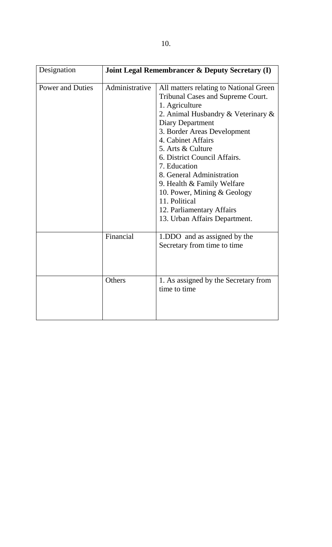| Designation             |                | <b>Joint Legal Remembrancer &amp; Deputy Secretary (I)</b>                                                                                                                                                                                                                                                                                                                                                                                                          |
|-------------------------|----------------|---------------------------------------------------------------------------------------------------------------------------------------------------------------------------------------------------------------------------------------------------------------------------------------------------------------------------------------------------------------------------------------------------------------------------------------------------------------------|
| <b>Power and Duties</b> | Administrative | All matters relating to National Green<br><b>Tribunal Cases and Supreme Court.</b><br>1. Agriculture<br>2. Animal Husbandry & Veterinary &<br>Diary Department<br>3. Border Areas Development<br>4. Cabinet Affairs<br>5. Arts & Culture<br>6. District Council Affairs.<br>7. Education<br>8. General Administration<br>9. Health $&$ Family Welfare<br>10. Power, Mining & Geology<br>11. Political<br>12. Parliamentary Affairs<br>13. Urban Affairs Department. |
|                         | Financial      | 1.DDO and as assigned by the<br>Secretary from time to time                                                                                                                                                                                                                                                                                                                                                                                                         |
|                         | Others         | 1. As assigned by the Secretary from<br>time to time                                                                                                                                                                                                                                                                                                                                                                                                                |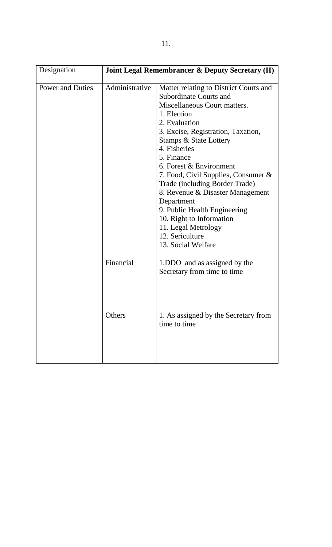| Designation             | <b>Joint Legal Remembrancer &amp; Deputy Secretary (II)</b> |                                                                                                                                                                                                                                                                                                                                                                                                                                                                                                                         |
|-------------------------|-------------------------------------------------------------|-------------------------------------------------------------------------------------------------------------------------------------------------------------------------------------------------------------------------------------------------------------------------------------------------------------------------------------------------------------------------------------------------------------------------------------------------------------------------------------------------------------------------|
| <b>Power and Duties</b> | Administrative                                              | Matter relating to District Courts and<br><b>Subordinate Courts and</b><br>Miscellaneous Court matters.<br>1. Election<br>2. Evaluation<br>3. Excise, Registration, Taxation,<br>Stamps & State Lottery<br>4. Fisheries<br>5. Finance<br>6. Forest & Environment<br>7. Food, Civil Supplies, Consumer &<br>Trade (including Border Trade)<br>8. Revenue & Disaster Management<br>Department<br>9. Public Health Engineering<br>10. Right to Information<br>11. Legal Metrology<br>12. Sericulture<br>13. Social Welfare |
|                         | Financial                                                   | 1.DDO and as assigned by the<br>Secretary from time to time                                                                                                                                                                                                                                                                                                                                                                                                                                                             |
|                         | Others                                                      | 1. As assigned by the Secretary from<br>time to time                                                                                                                                                                                                                                                                                                                                                                                                                                                                    |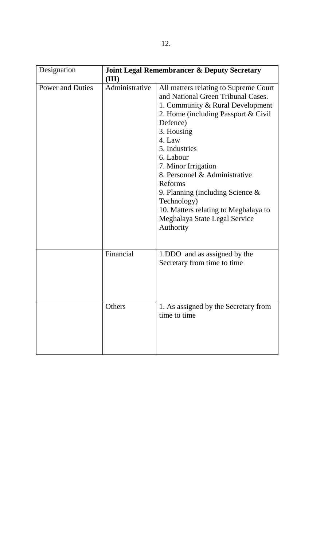| Designation             | <b>Joint Legal Remembrancer &amp; Deputy Secretary</b> |                                                                                                                                                                                                                                                                                                                                                                                                                                         |
|-------------------------|--------------------------------------------------------|-----------------------------------------------------------------------------------------------------------------------------------------------------------------------------------------------------------------------------------------------------------------------------------------------------------------------------------------------------------------------------------------------------------------------------------------|
|                         | (III)                                                  |                                                                                                                                                                                                                                                                                                                                                                                                                                         |
| <b>Power and Duties</b> | Administrative                                         | All matters relating to Supreme Court<br>and National Green Tribunal Cases.<br>1. Community & Rural Development<br>2. Home (including Passport & Civil<br>Defence)<br>3. Housing<br>4. Law<br>5. Industries<br>6. Labour<br>7. Minor Irrigation<br>8. Personnel & Administrative<br>Reforms<br>9. Planning (including Science $\&$<br>Technology)<br>10. Matters relating to Meghalaya to<br>Meghalaya State Legal Service<br>Authority |
|                         | Financial                                              | 1.DDO and as assigned by the<br>Secretary from time to time                                                                                                                                                                                                                                                                                                                                                                             |
|                         | Others                                                 | 1. As assigned by the Secretary from<br>time to time                                                                                                                                                                                                                                                                                                                                                                                    |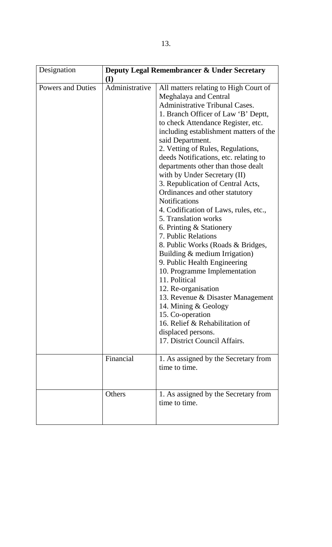| Designation              | <b>Deputy Legal Remembrancer &amp; Under Secretary</b><br>(I) |                                                                                                                                                                                                                                                                                                                                                                                                                                                                                                                                                                                                                                                                                                                                                                                                                                                                                                                                                                                   |
|--------------------------|---------------------------------------------------------------|-----------------------------------------------------------------------------------------------------------------------------------------------------------------------------------------------------------------------------------------------------------------------------------------------------------------------------------------------------------------------------------------------------------------------------------------------------------------------------------------------------------------------------------------------------------------------------------------------------------------------------------------------------------------------------------------------------------------------------------------------------------------------------------------------------------------------------------------------------------------------------------------------------------------------------------------------------------------------------------|
| <b>Powers and Duties</b> | Administrative                                                | All matters relating to High Court of<br>Meghalaya and Central<br><b>Administrative Tribunal Cases.</b><br>1. Branch Officer of Law 'B' Deptt,<br>to check Attendance Register, etc.<br>including establishment matters of the<br>said Department.<br>2. Vetting of Rules, Regulations,<br>deeds Notifications, etc. relating to<br>departments other than those dealt<br>with by Under Secretary (II)<br>3. Republication of Central Acts,<br>Ordinances and other statutory<br><b>Notifications</b><br>4. Codification of Laws, rules, etc.,<br>5. Translation works<br>6. Printing & Stationery<br>7. Public Relations<br>8. Public Works (Roads & Bridges,<br>Building & medium Irrigation)<br>9. Public Health Engineering<br>10. Programme Implementation<br>11. Political<br>12. Re-organisation<br>13. Revenue & Disaster Management<br>14. Mining & Geology<br>15. Co-operation<br>16. Relief & Rehabilitation of<br>displaced persons.<br>17. District Council Affairs. |
|                          | Financial                                                     | 1. As assigned by the Secretary from<br>time to time.                                                                                                                                                                                                                                                                                                                                                                                                                                                                                                                                                                                                                                                                                                                                                                                                                                                                                                                             |
|                          | Others                                                        | 1. As assigned by the Secretary from<br>time to time.                                                                                                                                                                                                                                                                                                                                                                                                                                                                                                                                                                                                                                                                                                                                                                                                                                                                                                                             |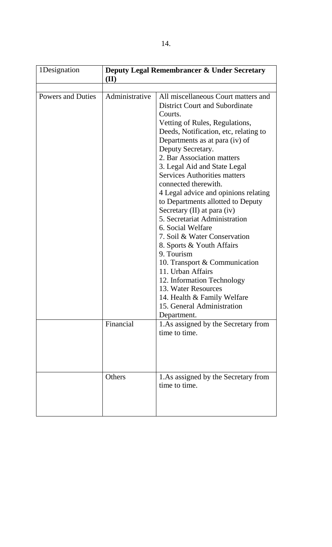| 1Designation             | <b>Deputy Legal Remembrancer &amp; Under Secretary</b><br>(II) |                                                                                                                                                                                                                                                                                                                                                                                                                                                                                                                                                                                                                                                                                                                                                                             |
|--------------------------|----------------------------------------------------------------|-----------------------------------------------------------------------------------------------------------------------------------------------------------------------------------------------------------------------------------------------------------------------------------------------------------------------------------------------------------------------------------------------------------------------------------------------------------------------------------------------------------------------------------------------------------------------------------------------------------------------------------------------------------------------------------------------------------------------------------------------------------------------------|
|                          |                                                                |                                                                                                                                                                                                                                                                                                                                                                                                                                                                                                                                                                                                                                                                                                                                                                             |
| <b>Powers and Duties</b> | Administrative                                                 | All miscellaneous Court matters and<br><b>District Court and Subordinate</b><br>Courts.<br>Vetting of Rules, Regulations,<br>Deeds, Notification, etc, relating to<br>Departments as at para (iv) of<br>Deputy Secretary.<br>2. Bar Association matters<br>3. Legal Aid and State Legal<br><b>Services Authorities matters</b><br>connected therewith.<br>4 Legal advice and opinions relating<br>to Departments allotted to Deputy<br>Secretary (II) at para (iv)<br>5. Secretariat Administration<br>6. Social Welfare<br>7. Soil & Water Conservation<br>8. Sports & Youth Affairs<br>9. Tourism<br>10. Transport & Communication<br>11. Urban Affairs<br>12. Information Technology<br>13. Water Resources<br>14. Health & Family Welfare<br>15. General Administration |
|                          | Financial                                                      | Department.<br>1. As assigned by the Secretary from<br>time to time.                                                                                                                                                                                                                                                                                                                                                                                                                                                                                                                                                                                                                                                                                                        |
|                          | Others                                                         | 1. As assigned by the Secretary from<br>time to time.                                                                                                                                                                                                                                                                                                                                                                                                                                                                                                                                                                                                                                                                                                                       |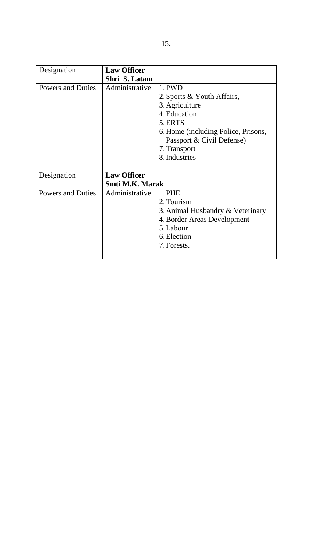| Designation              | <b>Law Officer</b>                           |                                                                                                                                    |
|--------------------------|----------------------------------------------|------------------------------------------------------------------------------------------------------------------------------------|
|                          | Shri S. Latam                                |                                                                                                                                    |
| <b>Powers and Duties</b> | Administrative                               | 1. PWD<br>2. Sports & Youth Affairs,<br>3. Agriculture<br>4. Education                                                             |
|                          |                                              | 5. ERTS<br>6. Home (including Police, Prisons,<br>Passport & Civil Defense)<br>7. Transport<br>8. Industries                       |
| Designation              | <b>Law Officer</b><br><b>Smti M.K. Marak</b> |                                                                                                                                    |
| <b>Powers and Duties</b> | Administrative                               | 1. PHE<br>2. Tourism<br>3. Animal Husbandry & Veterinary<br>4. Border Areas Development<br>5. Labour<br>6. Election<br>7. Forests. |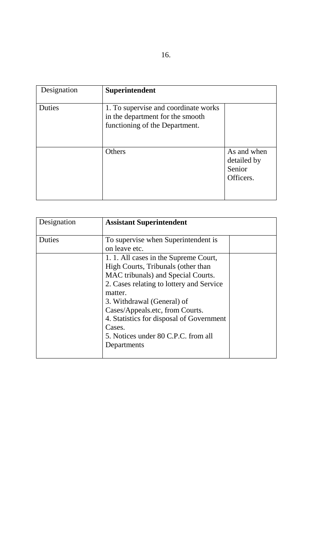| Designation | Superintendent                                                                                             |                                                   |
|-------------|------------------------------------------------------------------------------------------------------------|---------------------------------------------------|
| Duties      | 1. To supervise and coordinate works<br>in the department for the smooth<br>functioning of the Department. |                                                   |
|             | <b>Others</b>                                                                                              | As and when<br>detailed by<br>Senior<br>Officers. |

| Designation | <b>Assistant Superintendent</b>                                                                                                                                                                                                                                                                                                                       |  |
|-------------|-------------------------------------------------------------------------------------------------------------------------------------------------------------------------------------------------------------------------------------------------------------------------------------------------------------------------------------------------------|--|
| Duties      | To supervise when Superintendent is<br>on leave etc.                                                                                                                                                                                                                                                                                                  |  |
|             | 1. 1. All cases in the Supreme Court,<br>High Courts, Tribunals (other than<br>MAC tribunals) and Special Courts.<br>2. Cases relating to lottery and Service<br>matter.<br>3. Withdrawal (General) of<br>Cases/Appeals.etc, from Courts.<br>4. Statistics for disposal of Government<br>Cases.<br>5. Notices under 80 C.P.C. from all<br>Departments |  |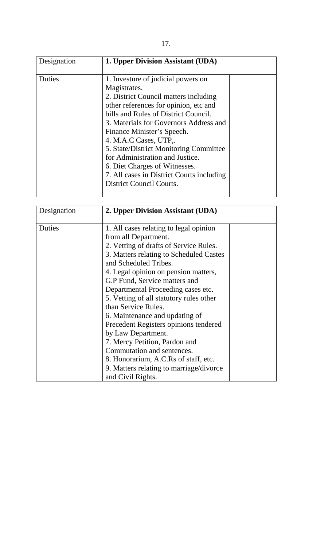| Designation | 1. Upper Division Assistant (UDA)                                                                                                                                                                                                                                                                                                                                                                                                                                           |  |
|-------------|-----------------------------------------------------------------------------------------------------------------------------------------------------------------------------------------------------------------------------------------------------------------------------------------------------------------------------------------------------------------------------------------------------------------------------------------------------------------------------|--|
| Duties      | 1. Investure of judicial powers on<br>Magistrates.<br>2. District Council matters including<br>other references for opinion, etc and<br>bills and Rules of District Council.<br>3. Materials for Governors Address and<br>Finance Minister's Speech.<br>4. M.A.C Cases, UTP,.<br>5. State/District Monitoring Committee<br>for Administration and Justice.<br>6. Diet Charges of Witnesses.<br>7. All cases in District Courts including<br><b>District Council Courts.</b> |  |

| Designation | 2. Upper Division Assistant (UDA)       |  |
|-------------|-----------------------------------------|--|
| Duties      | 1. All cases relating to legal opinion  |  |
|             | from all Department.                    |  |
|             | 2. Vetting of drafts of Service Rules.  |  |
|             | 3. Matters relating to Scheduled Castes |  |
|             | and Scheduled Tribes.                   |  |
|             | 4. Legal opinion on pension matters,    |  |
|             | G.P Fund, Service matters and           |  |
|             | Departmental Proceeding cases etc.      |  |
|             | 5. Vetting of all statutory rules other |  |
|             | than Service Rules.                     |  |
|             | 6. Maintenance and updating of          |  |
|             | Precedent Registers opinions tendered   |  |
|             | by Law Department.                      |  |
|             | 7. Mercy Petition, Pardon and           |  |
|             | Commutation and sentences.              |  |
|             | 8. Honorarium, A.C.Rs of staff, etc.    |  |
|             | 9. Matters relating to marriage/divorce |  |
|             | and Civil Rights.                       |  |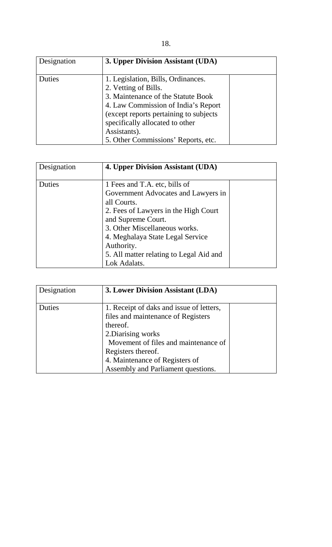| Designation | 3. Upper Division Assistant (UDA)                                                                                                                                                                                                                                            |  |
|-------------|------------------------------------------------------------------------------------------------------------------------------------------------------------------------------------------------------------------------------------------------------------------------------|--|
| Duties      | 1. Legislation, Bills, Ordinances.<br>2. Vetting of Bills.<br>3. Maintenance of the Statute Book<br>4. Law Commission of India's Report<br>(except reports pertaining to subjects)<br>specifically allocated to other<br>Assistants).<br>5. Other Commissions' Reports, etc. |  |

| Designation | 4. Upper Division Assistant (UDA)       |  |
|-------------|-----------------------------------------|--|
|             |                                         |  |
| Duties      | 1 Fees and T.A. etc, bills of           |  |
|             | Government Advocates and Lawyers in     |  |
|             | all Courts.                             |  |
|             | 2. Fees of Lawyers in the High Court    |  |
|             | and Supreme Court.                      |  |
|             | 3. Other Miscellaneous works.           |  |
|             | 4. Meghalaya State Legal Service        |  |
|             | Authority.                              |  |
|             | 5. All matter relating to Legal Aid and |  |
|             | Lok Adalats.                            |  |

| Designation | 3. Lower Division Assistant (LDA)        |  |
|-------------|------------------------------------------|--|
| Duties      | 1. Receipt of daks and issue of letters, |  |
|             | files and maintenance of Registers       |  |
|             | thereof.                                 |  |
|             | 2. Diarising works                       |  |
|             | Movement of files and maintenance of     |  |
|             | Registers thereof.                       |  |
|             | 4. Maintenance of Registers of           |  |
|             | Assembly and Parliament questions.       |  |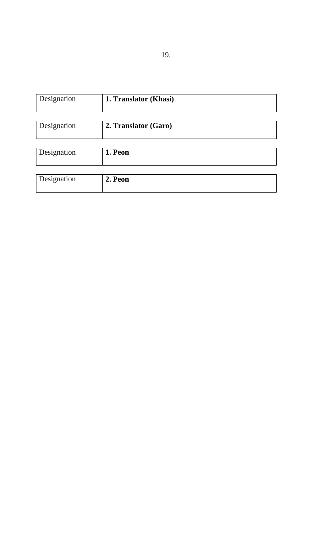| Designation | 1. Translator (Khasi) |
|-------------|-----------------------|
|             |                       |
| Designation | 2. Translator (Garo)  |
|             |                       |
| Designation | 1. Peon               |
|             |                       |
| Designation | 2. Peon               |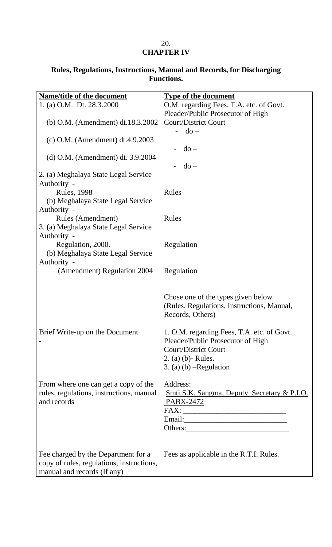#### 20. **CHAPTER IV**

### **Rules, Regulations, Instructions, Manual and Records, for Discharging Functions.**

| <b>Name/title of the document</b>                                                                               | <b>Type of the document</b>                                                                                                           |
|-----------------------------------------------------------------------------------------------------------------|---------------------------------------------------------------------------------------------------------------------------------------|
| 1. (a) O.M. Dt. 28.3.2000                                                                                       | O.M. regarding Fees, T.A. etc. of Govt.                                                                                               |
|                                                                                                                 | Pleader/Public Prosecutor of High                                                                                                     |
| (b) O.M. (Amendment) dt.18.3.2002                                                                               | <b>Court/District Court</b>                                                                                                           |
|                                                                                                                 | $do -$                                                                                                                                |
| (c) O.M. (Amendment) dt.4.9.2003                                                                                |                                                                                                                                       |
|                                                                                                                 | $do -$                                                                                                                                |
| (d) O.M. (Amendment) dt. 3.9.2004                                                                               |                                                                                                                                       |
|                                                                                                                 | $d$ o –                                                                                                                               |
| 2. (a) Meghalaya State Legal Service                                                                            |                                                                                                                                       |
| Authority -                                                                                                     |                                                                                                                                       |
| <b>Rules</b> , 1998                                                                                             | Rules                                                                                                                                 |
| (b) Meghalaya State Legal Service                                                                               |                                                                                                                                       |
| Authority -                                                                                                     |                                                                                                                                       |
| Rules (Amendment)                                                                                               | Rules                                                                                                                                 |
| 3. (a) Meghalaya State Legal Service                                                                            |                                                                                                                                       |
| Authority -                                                                                                     |                                                                                                                                       |
| Regulation, 2000.                                                                                               | Regulation                                                                                                                            |
| (b) Meghalaya State Legal Service                                                                               |                                                                                                                                       |
| Authority -                                                                                                     |                                                                                                                                       |
| (Amendment) Regulation 2004                                                                                     | Regulation                                                                                                                            |
|                                                                                                                 | Chose one of the types given below<br>(Rules, Regulations, Instructions, Manual,<br>Records, Others)                                  |
| Brief Write-up on the Document                                                                                  | 1. O.M. regarding Fees, T.A. etc. of Govt.                                                                                            |
|                                                                                                                 | Pleader/Public Prosecutor of High                                                                                                     |
|                                                                                                                 | <b>Court/District Court</b>                                                                                                           |
|                                                                                                                 | 2. (a) (b) - Rules.                                                                                                                   |
|                                                                                                                 | $3. (a) (b)$ -Regulation                                                                                                              |
|                                                                                                                 |                                                                                                                                       |
| From where one can get a copy of the                                                                            | Address:                                                                                                                              |
| rules, regulations, instructions, manual                                                                        | <b>Smti S.K. Sangma, Deputy Secretary &amp; P.I.O.</b>                                                                                |
| and records                                                                                                     | PABX-2472                                                                                                                             |
|                                                                                                                 | $\text{FAX:}\underbrace{\hspace{2.5cm}}_{\text{2.1}}\underbrace{\hspace{2.5cm}}_{\text{2.2}}\underbrace{\hspace{2.5cm}}_{\text{2.3}}$ |
|                                                                                                                 |                                                                                                                                       |
|                                                                                                                 |                                                                                                                                       |
|                                                                                                                 |                                                                                                                                       |
| Fee charged by the Department for a<br>copy of rules, regulations, instructions,<br>manual and records (If any) | Fees as applicable in the R.T.I. Rules.                                                                                               |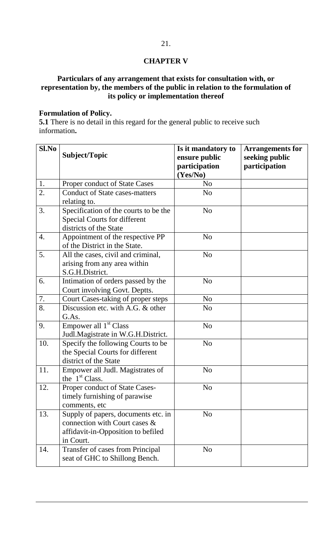#### **CHAPTER V**

## **Particulars of any arrangement that exists for consultation with, or representation by, the members of the public in relation to the formulation of its policy or implementation thereof**

#### **Formulation of Policy.**

**5.1** There is no detail in this regard for the general public to receive such information**.** 

| Sl.No | Subject/Topic                                                                                                           | Is it mandatory to<br>ensure public<br>participation<br>(Yes/No) | <b>Arrangements for</b><br>seeking public<br>participation |
|-------|-------------------------------------------------------------------------------------------------------------------------|------------------------------------------------------------------|------------------------------------------------------------|
| 1.    | Proper conduct of State Cases                                                                                           | N <sub>0</sub>                                                   |                                                            |
| 2.    | <b>Conduct of State cases-matters</b><br>relating to.                                                                   | N <sub>o</sub>                                                   |                                                            |
| 3.    | Specification of the courts to be the<br><b>Special Courts for different</b><br>districts of the State                  | N <sub>o</sub>                                                   |                                                            |
| 4.    | Appointment of the respective PP<br>of the District in the State.                                                       | N <sub>o</sub>                                                   |                                                            |
| 5.    | All the cases, civil and criminal,<br>arising from any area within<br>S.G.H.District.                                   | N <sub>o</sub>                                                   |                                                            |
| 6.    | Intimation of orders passed by the<br>Court involving Govt. Deptts.                                                     | N <sub>o</sub>                                                   |                                                            |
| 7.    | Court Cases-taking of proper steps                                                                                      | N <sub>o</sub>                                                   |                                                            |
| 8.    | Discussion etc. with A.G. & other<br>G.As.                                                                              | N <sub>0</sub>                                                   |                                                            |
| 9.    | Empower all 1 <sup>st</sup> Class<br>Judl.Magistrate in W.G.H.District.                                                 | N <sub>o</sub>                                                   |                                                            |
| 10.   | Specify the following Courts to be<br>the Special Courts for different<br>district of the State                         | N <sub>o</sub>                                                   |                                                            |
| 11.   | Empower all Judl. Magistrates of<br>the $1st Class.$                                                                    | N <sub>o</sub>                                                   |                                                            |
| 12.   | Proper conduct of State Cases-<br>timely furnishing of parawise<br>comments, etc                                        | N <sub>o</sub>                                                   |                                                            |
| 13.   | Supply of papers, documents etc. in<br>connection with Court cases &<br>affidavit-in-Opposition to befiled<br>in Court. | N <sub>o</sub>                                                   |                                                            |
| 14.   | Transfer of cases from Principal<br>seat of GHC to Shillong Bench.                                                      | N <sub>o</sub>                                                   |                                                            |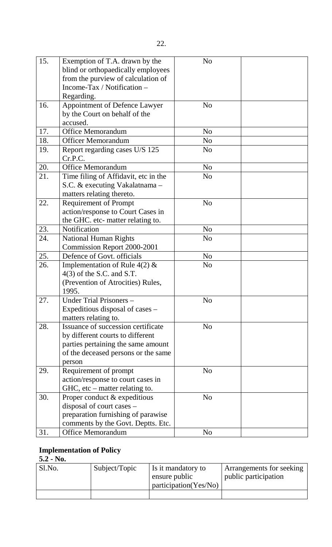| 15. | Exemption of T.A. drawn by the<br>blind or orthopaedically employees<br>from the purview of calculation of<br>Income-Tax / Notification –<br>Regarding.       | N <sub>o</sub> |  |
|-----|---------------------------------------------------------------------------------------------------------------------------------------------------------------|----------------|--|
| 16. | Appointment of Defence Lawyer<br>by the Court on behalf of the<br>accused.                                                                                    | N <sub>o</sub> |  |
| 17. | <b>Office Memorandum</b>                                                                                                                                      | N <sub>0</sub> |  |
| 18. | <b>Officer Memorandum</b>                                                                                                                                     | N <sub>0</sub> |  |
| 19. | Report regarding cases U/S 125<br>Cr.P.C.                                                                                                                     | N <sub>o</sub> |  |
| 20. | <b>Office Memorandum</b>                                                                                                                                      | N <sub>o</sub> |  |
| 21. | Time filing of Affidavit, etc in the<br>S.C. & executing Vakalatnama -<br>matters relating thereto.                                                           | N <sub>o</sub> |  |
| 22. | <b>Requirement of Prompt</b><br>action/response to Court Cases in<br>the GHC. etc- matter relating to.                                                        | N <sub>o</sub> |  |
| 23. | Notification                                                                                                                                                  | N <sub>o</sub> |  |
| 24. | <b>National Human Rights</b><br>Commission Report 2000-2001                                                                                                   | N <sub>o</sub> |  |
| 25. | Defence of Govt. officials                                                                                                                                    | N <sub>o</sub> |  |
| 26. | Implementation of Rule $4(2)$ &<br>$4(3)$ of the S.C. and S.T.<br>(Prevention of Atrocities) Rules,<br>1995.                                                  | N <sub>o</sub> |  |
| 27. | Under Trial Prisoners -<br>Expeditious disposal of cases –<br>matters relating to.                                                                            | No             |  |
| 28. | Issuance of succession certificate<br>by different courts to different<br>parties pertaining the same amount<br>of the deceased persons or the same<br>person | N <sub>o</sub> |  |
| 29. | Requirement of prompt<br>action/response to court cases in<br>$HC$ , etc – matter relating to.                                                                | N <sub>o</sub> |  |
| 30. | Proper conduct & expeditious<br>disposal of court cases –<br>preparation furnishing of parawise<br>comments by the Govt. Deptts. Etc.                         | N <sub>o</sub> |  |
| 31. | <b>Office Memorandum</b>                                                                                                                                      | N <sub>o</sub> |  |

## **Implementation of Policy**

### **5.2 - No.**

| Sl.No. | Subject/Topic | I s it mandatory to   | Arrangements for seeking |
|--------|---------------|-----------------------|--------------------------|
|        |               | ensure public         | public participation     |
|        |               | participation(Yes/No) |                          |
|        |               |                       |                          |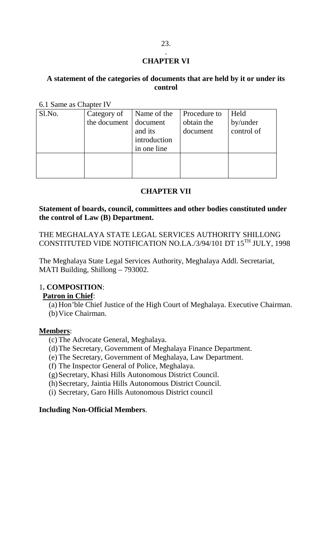#### . **CHAPTER VI**

#### **A statement of the categories of documents that are held by it or under its control**

6.1 Same as Chapter IV

| Sl.No. | Category of<br>the document document | Name of the<br>and its<br>introduction<br>in one line | Procedure to<br>obtain the<br>document | Held<br>by/under<br>control of |
|--------|--------------------------------------|-------------------------------------------------------|----------------------------------------|--------------------------------|
|        |                                      |                                                       |                                        |                                |

#### **CHAPTER VII**

#### **Statement of boards, council, committees and other bodies constituted under the control of Law (B) Department.**

THE MEGHALAYA STATE LEGAL SERVICES AUTHORITY SHILLONG CONSTITUTED VIDE NOTIFICATION NO.LA./3/94/101 DT 15TH JULY, 1998

The Meghalaya State Legal Services Authority, Meghalaya Addl. Secretariat, MATI Building, Shillong – 793002.

#### 1**. COMPOSITION**:

#### **Patron in Chief** :

(a) Hon'ble Chief Justice of the High Court of Meghalaya. Executive Chairman.

## (b)Vice Chairman.

#### **Members** :

- (c) The Advocate General, Meghalaya.
- (d)The Secretary, Government of Meghalaya Finance Department.
- (e) The Secretary, Government of Meghalaya, Law Department.
- (f) The Inspector General of Police, Meghalaya.
- (g)Secretary, Khasi Hills Autonomous District Council.
- (h)Secretary, Jaintia Hills Autonomous District Council.
- (i) Secretary, Garo Hills Autonomous District council

#### **Including Non-Official Members**.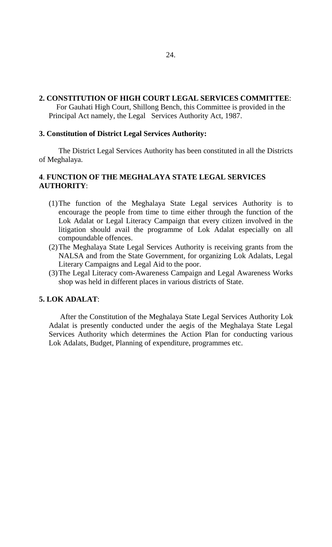#### **2. CONSTITUTION OF HIGH COURT LEGAL SERVICES COMMITTEE**:

 For Gauhati High Court, Shillong Bench, this Committee is provided in the Principal Act namely, the Legal Services Authority Act, 1987.

#### **3. Constitution of District Legal Services Authority:**

The District Legal Services Authority has been constituted in all the Districts of Meghalaya.

#### **4**. **FUNCTION OF THE MEGHALAYA STATE LEGAL SERVICES AUTHORITY**:

- (1)The function of the Meghalaya State Legal services Authority is to encourage the people from time to time either through the function of the Lok Adalat or Legal Literacy Campaign that every citizen involved in the litigation should avail the programme of Lok Adalat especially on all compoundable offences.
- (2)The Meghalaya State Legal Services Authority is receiving grants from the NALSA and from the State Government, for organizing Lok Adalats, Legal Literary Campaigns and Legal Aid to the poor.
- (3)The Legal Literacy com-Awareness Campaign and Legal Awareness Works shop was held in different places in various districts of State.

#### **5. LOK ADALAT**:

 After the Constitution of the Meghalaya State Legal Services Authority Lok Adalat is presently conducted under the aegis of the Meghalaya State Legal Services Authority which determines the Action Plan for conducting various Lok Adalats, Budget, Planning of expenditure, programmes etc.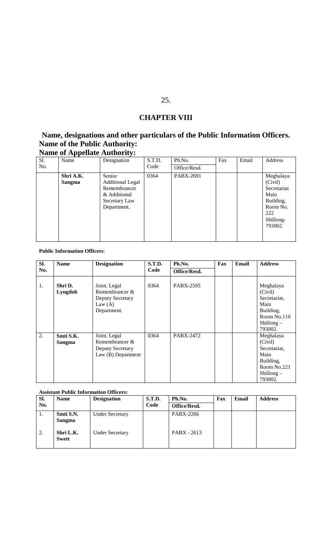## **CHAPTER VIII**

## **Name, designations and other particulars of the Public Information Officers. Name of the Public Authority:**

#### **Name of Appellate Authority:** Sl. Name Designation S.T.D. No. Code Ph.No. Fax Email Address Office/Resd. **Shri A.K. Sangma** Senior Additional Legal Remembrancer & Additional Secretary Law Department. 0364 PABX-2691 Meghalaya (Civil) Secretariat Main Building, Room No. 222 Shillong-793002.

#### **Public Information Officers**:

| SI. | <b>Name</b>         | <b>Designation</b>                                                             | <b>S.T.D.</b> | Ph.No.       | Fax | Email | <b>Address</b>                                                                                      |
|-----|---------------------|--------------------------------------------------------------------------------|---------------|--------------|-----|-------|-----------------------------------------------------------------------------------------------------|
| No. |                     |                                                                                | Code          | Office/Resd. |     |       |                                                                                                     |
| 1.  | Shri D.<br>Lyngdoh  | Joint. Legal<br>Remembrancer &<br>Deputy Secretary<br>Law $(A)$<br>Department. | 0364          | PABX-2595    |     |       | Meghalaya<br>(Civil)<br>Secretariat,<br>Main<br>Building,<br>Room No.110<br>$Shillong -$<br>793002. |
| 2.  | Smti S.K.<br>Sangma | Joint. Legal<br>Remembrancer &<br>Deputy Secretary<br>Law $(B)$ Department     | 0364          | PABX-2472    |     |       | Meghalaya<br>(Civil)<br>Secretariat,<br>Main<br>Building,<br>Room No.221<br>Shillong $-$<br>793002. |

#### **Assistant Public Information Officers:**

| SI. | <b>Name</b>               | <b>Designation</b>     | <b>S.T.D.</b> | Ph.No.       | Fax | Email | <b>Address</b> |
|-----|---------------------------|------------------------|---------------|--------------|-----|-------|----------------|
| No. |                           |                        | Code          | Office/Resd. |     |       |                |
| 1.  | Smti S.N.<br>Sangma       | <b>Under Secretary</b> |               | PABX-2266    |     |       |                |
| 2.  | Shri L.K.<br><b>Swett</b> | <b>Under Secretary</b> |               | PABX - 2613  |     |       |                |

#### 25.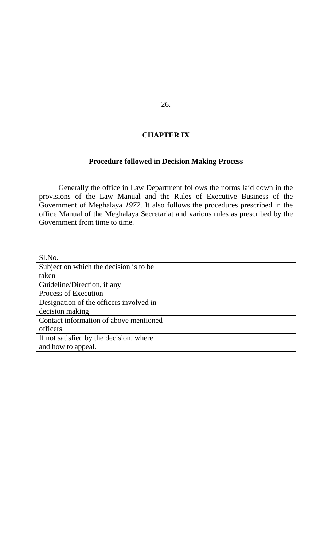### **CHAPTER IX**

## **Procedure followed in Decision Making Process**

Generally the office in Law Department follows the norms laid down in the provisions of the Law Manual and the Rules of Executive Business of the Government of Meghalaya *1972*. It also follows the procedures prescribed in the office Manual of the Meghalaya Secretariat and various rules as prescribed by the Government from time to time.

| Sl.No.                                  |  |
|-----------------------------------------|--|
| Subject on which the decision is to be  |  |
| taken                                   |  |
| Guideline/Direction, if any             |  |
| Process of Execution                    |  |
| Designation of the officers involved in |  |
| decision making                         |  |
| Contact information of above mentioned  |  |
| officers                                |  |
| If not satisfied by the decision, where |  |
| and how to appeal.                      |  |

26.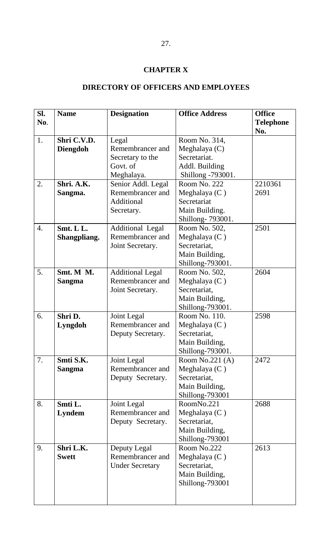## **CHAPTER X**

## **DIRECTORY OF OFFICERS AND EMPLOYEES**

| Sl.              | <b>Name</b>     | <b>Designation</b>      | <b>Office Address</b> | <b>Office</b>           |
|------------------|-----------------|-------------------------|-----------------------|-------------------------|
| No.              |                 |                         |                       | <b>Telephone</b><br>No. |
| 1.               | Shri C.V.D.     | Legal                   | Room No. 314,         |                         |
|                  | <b>Diengdoh</b> | Remembrancer and        | Meghalaya (C)         |                         |
|                  |                 | Secretary to the        | Secretariat.          |                         |
|                  |                 | Govt. of                | Addl. Building        |                         |
|                  |                 | Meghalaya.              | Shillong -793001.     |                         |
| 2.               | Shri. A.K.      | Senior Addl. Legal      | Room No. 222          | 2210361                 |
|                  | Sangma.         | Remembrancer and        | Meghalaya $(C)$       | 2691                    |
|                  |                 | Additional              | Secretariat           |                         |
|                  |                 | Secretary.              | Main Building.        |                         |
|                  |                 |                         | Shillong-793001.      |                         |
| $\overline{4}$ . | Smt. L L.       | Additional Legal        | Room No. 502,         | 2501                    |
|                  | Shangpliang.    | Remembrancer and        | Meghalaya $(C)$       |                         |
|                  |                 | Joint Secretary.        | Secretariat,          |                         |
|                  |                 |                         | Main Building,        |                         |
|                  |                 |                         | Shillong-793001.      |                         |
| 5.               | Smt. M M.       | <b>Additional Legal</b> | Room No. 502,         | 2604                    |
|                  | <b>Sangma</b>   | Remembrancer and        | Meghalaya (C)         |                         |
|                  |                 | Joint Secretary.        | Secretariat,          |                         |
|                  |                 |                         | Main Building,        |                         |
|                  |                 |                         | Shillong-793001.      |                         |
| 6.               | Shri D.         | Joint Legal             | Room No. 110.         | 2598                    |
|                  | Lyngdoh         | Remembrancer and        | Meghalaya $(C)$       |                         |
|                  |                 | Deputy Secretary.       | Secretariat,          |                         |
|                  |                 |                         | Main Building,        |                         |
|                  |                 |                         | Shillong-793001.      |                         |
| 7.               | Smti S.K.       | Joint Legal             | Room No.221 $(A)$     | 2472                    |
|                  | <b>Sangma</b>   | Remembrancer and        | Meghalaya $(C)$       |                         |
|                  |                 | Deputy Secretary.       | Secretariat,          |                         |
|                  |                 |                         | Main Building,        |                         |
|                  |                 |                         | Shillong-793001       |                         |
| 8.               | Smti L.         | Joint Legal             | RoomNo.221            | 2688                    |
|                  | <b>Lyndem</b>   | Remembrancer and        | Meghalaya $(C)$       |                         |
|                  |                 | Deputy Secretary.       | Secretariat,          |                         |
|                  |                 |                         | Main Building,        |                         |
|                  |                 |                         | Shillong-793001       |                         |
| 9.               | Shri L.K.       | Deputy Legal            | Room No.222           | 2613                    |
|                  | <b>Swett</b>    | Remembrancer and        | Meghalaya $(C)$       |                         |
|                  |                 | <b>Under Secretary</b>  | Secretariat,          |                         |
|                  |                 |                         | Main Building,        |                         |
|                  |                 |                         | Shillong-793001       |                         |
|                  |                 |                         |                       |                         |
|                  |                 |                         |                       |                         |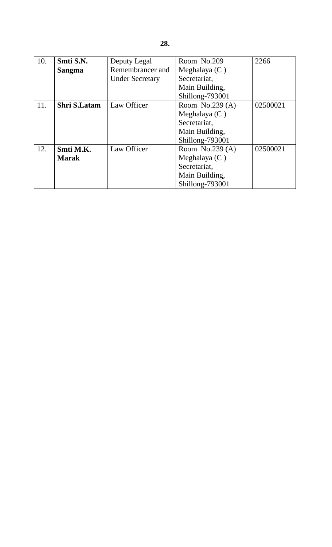| 10. | Smti S.N.           | Deputy Legal           | Room No.209       | 2266     |
|-----|---------------------|------------------------|-------------------|----------|
|     | <b>Sangma</b>       | Remembrancer and       | Meghalaya $(C)$   |          |
|     |                     | <b>Under Secretary</b> | Secretariat,      |          |
|     |                     |                        | Main Building,    |          |
|     |                     |                        | Shillong-793001   |          |
| 11. | <b>Shri S.Latam</b> | Law Officer            | Room No.239 $(A)$ | 02500021 |
|     |                     |                        | Meghalaya $(C)$   |          |
|     |                     |                        | Secretariat,      |          |
|     |                     |                        | Main Building,    |          |
|     |                     |                        | Shillong-793001   |          |
| 12. | Smti M.K.           | Law Officer            | Room No.239 $(A)$ | 02500021 |
|     | <b>Marak</b>        |                        | Meghalaya $(C)$   |          |
|     |                     |                        | Secretariat,      |          |
|     |                     |                        | Main Building,    |          |
|     |                     |                        | Shillong-793001   |          |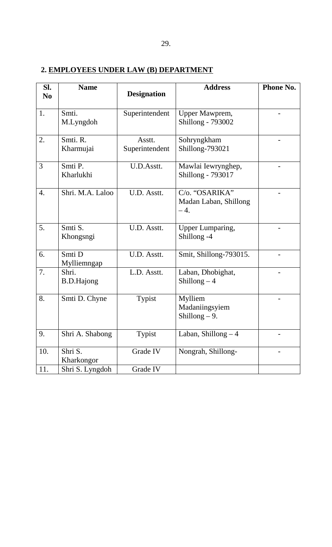## **2. EMPLOYEES UNDER LAW (B) DEPARTMENT**

| SI.<br>N <sub>0</sub> | <b>Name</b>                | <b>Designation</b>       | <b>Address</b>                                   | Phone No. |
|-----------------------|----------------------------|--------------------------|--------------------------------------------------|-----------|
| 1.                    | Smti.<br>M.Lyngdoh         | Superintendent           | Upper Mawprem,<br><b>Shillong - 793002</b>       |           |
| 2.                    | Smti. R.<br>Kharmujai      | Asstt.<br>Superintendent | Sohryngkham<br>Shillong-793021                   |           |
| 3                     | Smti P.<br>Kharlukhi       | U.D.Asstt.               | Mawlai Iewrynghep,<br>Shillong - 793017          |           |
| $\overline{4}$ .      | Shri. M.A. Laloo           | U.D. Asstt.              | C/o. "OSARIKA"<br>Madan Laban, Shillong<br>$-4.$ |           |
| 5.                    | Smti S.<br>Khongsngi       | U.D. Asstt.              | Upper Lumparing,<br>Shillong -4                  |           |
| 6.                    | Smti D<br>Mylliemngap      | U.D. Asstt.              | Smit, Shillong-793015.                           |           |
| 7.                    | Shri.<br><b>B.D.Hajong</b> | L.D. Asstt.              | Laban, Dhobighat,<br>Shillong $-4$               |           |
| 8.                    | Smti D. Chyne              | Typist                   | Mylliem<br>Madaniingsyiem<br>Shillong $-9$ .     |           |
| 9.                    | Shri A. Shabong            | Typist                   | Laban, Shillong $-4$                             |           |
| 10.                   | Shri S.<br>Kharkongor      | Grade IV                 | Nongrah, Shillong-                               |           |
| 11.                   | Shri S. Lyngdoh            | Grade IV                 |                                                  |           |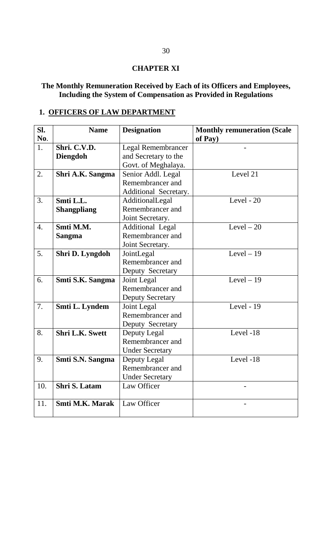#### **CHAPTER XI**

#### **The Monthly Remuneration Received by Each of its Officers and Employees, Including the System of Compensation as Provided in Regulations**

## **1. OFFICERS OF LAW DEPARTMENT**

| SI. | <b>Name</b>            | <b>Designation</b>        | <b>Monthly remuneration (Scale</b> |
|-----|------------------------|---------------------------|------------------------------------|
| No. |                        |                           | of Pay)                            |
| 1.  | Shri. C.V.D.           | <b>Legal Remembrancer</b> |                                    |
|     | <b>Diengdoh</b>        | and Secretary to the      |                                    |
|     |                        | Govt. of Meghalaya.       |                                    |
| 2.  | Shri A.K. Sangma       | Senior Addl. Legal        | Level 21                           |
|     |                        | Remembrancer and          |                                    |
|     |                        | Additional Secretary.     |                                    |
| 3.  | Smti L.L.              | AdditionalLegal           | Level - 20                         |
|     | <b>Shangpliang</b>     | Remembrancer and          |                                    |
|     |                        | Joint Secretary.          |                                    |
| 4.  | Smti M.M.              | <b>Additional Legal</b>   | Level $-20$                        |
|     | <b>Sangma</b>          | Remembrancer and          |                                    |
|     |                        | Joint Secretary.          |                                    |
| 5.  | Shri D. Lyngdoh        | JointLegal                | Level $-19$                        |
|     |                        | Remembrancer and          |                                    |
|     |                        | Deputy Secretary          |                                    |
| 6.  | Smti S.K. Sangma       | Joint Legal               | Level $-19$                        |
|     |                        | Remembrancer and          |                                    |
|     |                        | <b>Deputy Secretary</b>   |                                    |
| 7.  | Smti L. Lyndem         | Joint Legal               | Level - 19                         |
|     |                        | Remembrancer and          |                                    |
|     |                        | Deputy Secretary          |                                    |
| 8.  | <b>Shri L.K. Swett</b> | Deputy Legal              | Level -18                          |
|     |                        | Remembrancer and          |                                    |
|     |                        | <b>Under Secretary</b>    |                                    |
| 9.  | Smti S.N. Sangma       | Deputy Legal              | Level -18                          |
|     |                        | Remembrancer and          |                                    |
|     |                        | <b>Under Secretary</b>    |                                    |
| 10. | Shri S. Latam          | Law Officer               |                                    |
|     |                        |                           |                                    |
| 11. | <b>Smti M.K. Marak</b> | Law Officer               |                                    |
|     |                        |                           |                                    |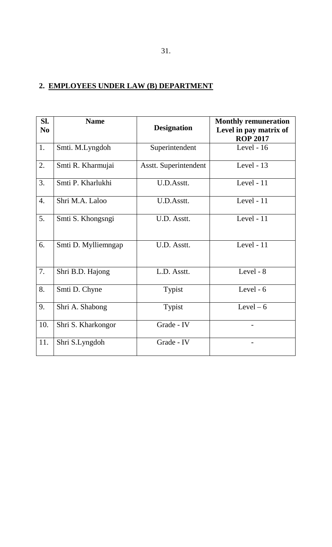# **2. EMPLOYEES UNDER LAW (B) DEPARTMENT**

| SI.<br>N <sub>0</sub> | <b>Name</b>         | <b>Designation</b>    | <b>Monthly remuneration</b><br>Level in pay matrix of<br><b>ROP 2017</b> |
|-----------------------|---------------------|-----------------------|--------------------------------------------------------------------------|
| 1.                    | Smti. M.Lyngdoh     | Superintendent        | Level - 16                                                               |
| 2.                    | Smti R. Kharmujai   | Asstt. Superintendent | Level - 13                                                               |
| 3.                    | Smti P. Kharlukhi   | U.D.Asstt.            | Level - 11                                                               |
| $\overline{4}$ .      | Shri M.A. Laloo     | U.D.Asstt.            | Level - 11                                                               |
| 5.                    | Smti S. Khongsngi   | U.D. Asstt.           | Level - 11                                                               |
| 6.                    | Smti D. Mylliemngap | U.D. Asstt.           | Level - 11                                                               |
| 7.                    | Shri B.D. Hajong    | L.D. Asstt.           | Level - 8                                                                |
| 8.                    | Smti D. Chyne       | Typist                | Level - $6$                                                              |
| 9.                    | Shri A. Shabong     | Typist                | Level $-6$                                                               |
| 10.                   | Shri S. Kharkongor  | Grade - IV            |                                                                          |
| 11.                   | Shri S.Lyngdoh      | Grade - IV            |                                                                          |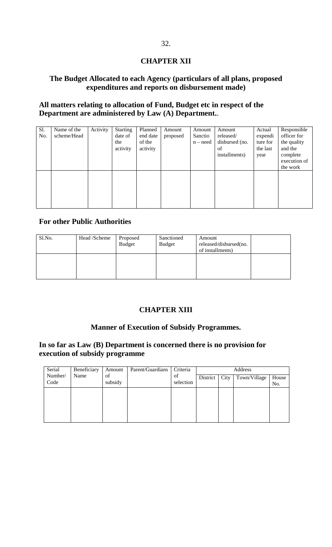#### **CHAPTER XII**

#### **The Budget Allocated to each Agency (particulars of all plans, proposed expenditures and reports on disbursement made)**

#### **All matters relating to allocation of Fund, Budget etc in respect of the Department are administered by Law (A) Department.**.

| Sl.<br>No. | Name of the<br>scheme/Head | Activity | <b>Starting</b><br>date of<br>the<br>activity | Planned<br>end date<br>of the<br>activity | Amount<br>proposed | Amount<br>Sanctio<br>$n - need$ | Amount<br>released/<br>disbursed (no.<br>of<br>installments) | Actual<br>expendi<br>ture for<br>the last<br>year | Responsible<br>officer for<br>the quality<br>and the<br>complete<br>execution of<br>the work |
|------------|----------------------------|----------|-----------------------------------------------|-------------------------------------------|--------------------|---------------------------------|--------------------------------------------------------------|---------------------------------------------------|----------------------------------------------------------------------------------------------|
|            |                            |          |                                               |                                           |                    |                                 |                                                              |                                                   |                                                                                              |

#### **For other Public Authorities**

| Sl.No. | Head /Scheme | Proposed<br><b>Budget</b> | Sanctioned<br><b>Budget</b> | Amount<br>released/disbursed(no.<br>of installments) |  |
|--------|--------------|---------------------------|-----------------------------|------------------------------------------------------|--|
|        |              |                           |                             |                                                      |  |

#### **CHAPTER XIII**

#### **Manner of Execution of Subsidy Programmes.**

#### **In so far as Law (B) Department is concerned there is no provision for execution of subsidy programme**

| Serial  | Beneficiary | Amount  | Parent/Guardians | Criteria  | Address  |      |              |       |
|---------|-------------|---------|------------------|-----------|----------|------|--------------|-------|
| Number/ | Name        | of      |                  | of        | District | City | Town/Village | House |
| Code    |             | subsidy |                  | selection |          |      |              | No.   |
|         |             |         |                  |           |          |      |              |       |
|         |             |         |                  |           |          |      |              |       |
|         |             |         |                  |           |          |      |              |       |
|         |             |         |                  |           |          |      |              |       |
|         |             |         |                  |           |          |      |              |       |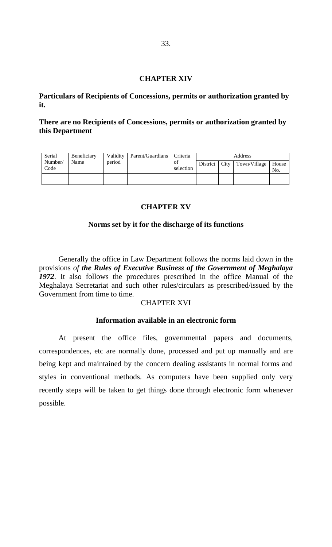#### **CHAPTER XIV**

**Particulars of Recipients of Concessions, permits or authorization granted by it.**

#### **There are no Recipients of Concessions, permits or authorization granted by this Department**

| Serial          | Beneficiary |        | Validity Parent/Guardians | Criteria        | Address  |  |                             |     |
|-----------------|-------------|--------|---------------------------|-----------------|----------|--|-----------------------------|-----|
| Number/<br>Code | Name        | period |                           | ΟĪ<br>selection | District |  | City   Town/Village   House |     |
|                 |             |        |                           |                 |          |  |                             | No. |
|                 |             |        |                           |                 |          |  |                             |     |

#### **CHAPTER XV**

#### **Norms set by it for the discharge of its functions**

Generally the office in Law Department follows the norms laid down in the provisions *of the Rules of Executive Business of the Government of Meghalaya 1972*. It also follows the procedures prescribed in the office Manual of the Meghalaya Secretariat and such other rules/circulars as prescribed/issued by the Government from time to time.

#### CHAPTER XVI

#### **Information available in an electronic form**

At present the office files, governmental papers and documents, correspondences, etc are normally done, processed and put up manually and are being kept and maintained by the concern dealing assistants in normal forms and styles in conventional methods. As computers have been supplied only very recently steps will be taken to get things done through electronic form whenever possible.